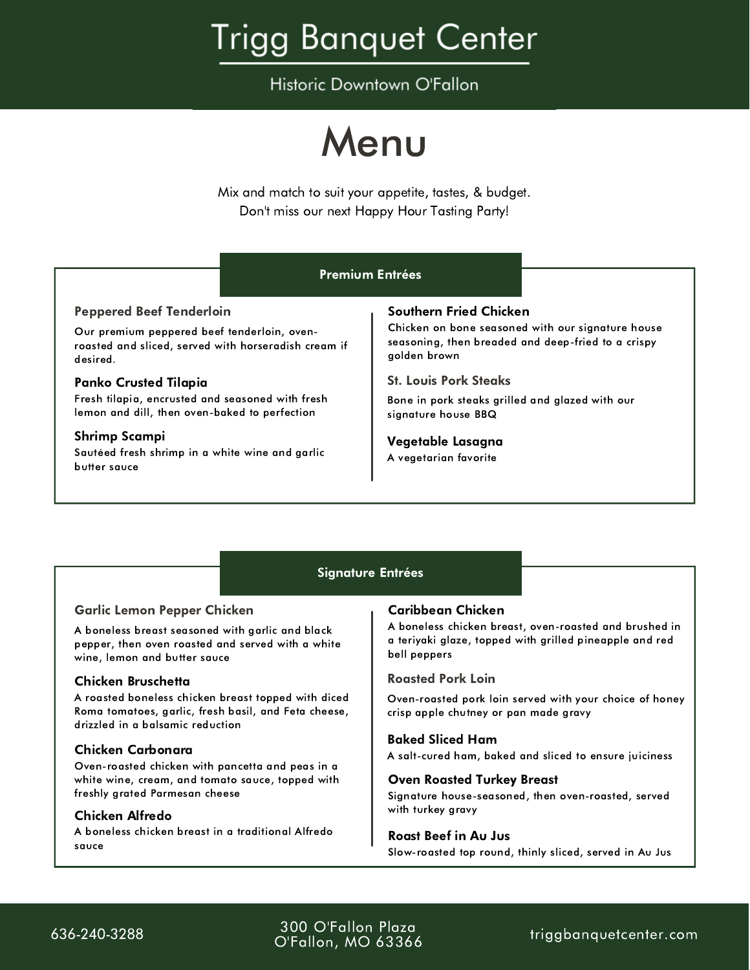Historic Downtown O'Fallon



Mix and match to suit your appetite, tastes, & budget. Don't miss our next Happy Hour Tasting Party!

|                                                                                         | <b>Premium Entrées</b>                             |
|-----------------------------------------------------------------------------------------|----------------------------------------------------|
| <b>Peppered Beef Tenderloin</b>                                                         | Southern Fried Chicken                             |
| Our premium peppered beef tenderloin, oven-                                             | Chicken on bone seasoned with our signature house  |
| roasted and sliced, served with horseradish cream if                                    | seasoning, then breaded and deep-fried to a crispy |
| desired.                                                                                | golden brown                                       |
| <b>Panko Crusted Tilapia</b>                                                            | <b>St. Louis Pork Steaks</b>                       |
| Fresh tilapia, encrusted and seasoned with fresh                                        | Bone in pork steaks grilled and glazed with our    |
| lemon and dill, then oven-baked to perfection                                           | signature house BBQ                                |
| <b>Shrimp Scampi</b><br>Sautéed fresh shrimp in a white wine and garlic<br>butter sauce | Vegetable Lasagna<br>A vegetarian favorite         |

# Signature Entrées

# Garlic Lemon Pepper Chicken

A boneless breast seasoned with garlic and black pepper, then oven roasted and served with a white wine, lemon and butter sauce

### Chicken Bruschetta

A roasted boneless chicken breast topped with diced Roma tomatoes, garlic, fresh basil, and Feta cheese, drizzled in a balsamic reduction

### Chicken Carbonara

Oven-roasted chicken with pancetta and peas in a white wine, cream, and tomato sauce, topped with freshly grated Parmesan cheese

# Chicken Alfredo

A boneless chicken breast in a traditional Alfredo sauce

### Caribbean Chicken

A boneless chicken breast, oven-roasted and brushed in a teriyaki glaze, topped with grilled pineapple and red bell peppers

#### Roasted Pork Loin

Oven-roasted pork loin served with your choice of honey crisp apple chutney or pan made gravy

#### Baked Sliced Ham

A salt-cured ham, baked and sliced to ensure juiciness

#### Oven Roasted Turkey Breast

Signature house-seasoned, then oven-roasted, served with turkey gravy

#### Roast Beef in Au Jus

Slow-roasted top round, thinly sliced, served in Au Jus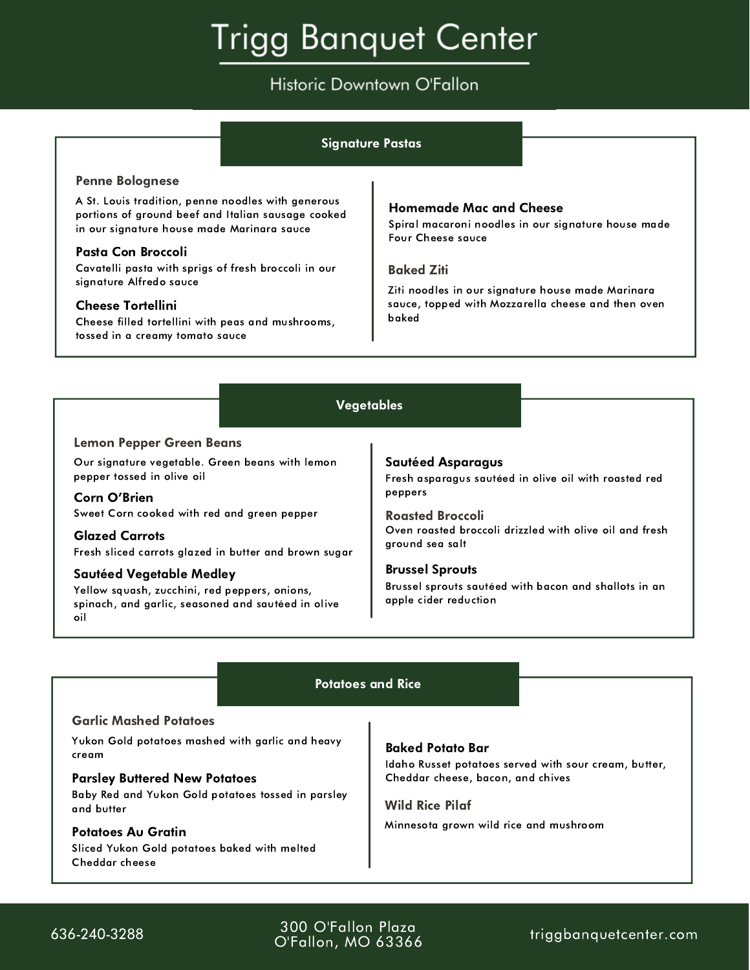# Historic Downtown O'Fallon

|                                                                                                                                                                                                                                                                                                                                                                                                               | <b>Signature Pastas</b>                                                                                                                                                                                                                                                                                           |
|---------------------------------------------------------------------------------------------------------------------------------------------------------------------------------------------------------------------------------------------------------------------------------------------------------------------------------------------------------------------------------------------------------------|-------------------------------------------------------------------------------------------------------------------------------------------------------------------------------------------------------------------------------------------------------------------------------------------------------------------|
| <b>Penne Bolognese</b><br>A St. Louis tradition, penne noodles with generous<br>portions of ground beef and Italian sausage cooked<br>in our signature house made Marinara sauce<br>Pasta Con Broccoli<br>Cavatelli pasta with sprigs of fresh broccoli in our<br>signature Alfredo sauce<br><b>Cheese Tortellini</b><br>Cheese filled tortellini with peas and mushrooms,<br>tossed in a creamy tomato sauce | <b>Homemade Mac and Cheese</b><br>Spiral macaroni noodles in our signature house made<br>Four Cheese sauce<br><b>Baked Ziti</b><br>Ziti noodles in our signature house made Marinara<br>sauce, topped with Mozzarella cheese and then oven<br>baked                                                               |
|                                                                                                                                                                                                                                                                                                                                                                                                               | Vegetables                                                                                                                                                                                                                                                                                                        |
| <b>Lemon Pepper Green Beans</b><br>Our signature vegetable. Green beans with lemon<br>pepper tossed in olive oil<br>Corn O'Brien<br>Sweet Corn cooked with red and green pepper<br><b>Glazed Carrots</b><br>Fresh sliced carrots glazed in butter and brown sugar<br>Sautéed Vegetable Medley<br>Yellow squash, zucchini, red peppers, onions,<br>spinach, and garlic, seasoned and sautéed in olive<br>oil   | <b>Sautéed Asparagus</b><br>Fresh asparagus sautéed in olive oil with roasted red<br>peppers<br><b>Roasted Broccoli</b><br>Oven roasted broccoli drizzled with olive oil and fresh<br>ground sea salt<br><b>Brussel Sprouts</b><br>Brussel sprouts sautéed with bacon and shallots in an<br>apple cider reduction |
|                                                                                                                                                                                                                                                                                                                                                                                                               | <b>Potatoes and Rice</b>                                                                                                                                                                                                                                                                                          |
| <b>Garlic Mashed Potatoes</b><br>Yukon Gold potatoes mashed with garlic and heavy<br>cream<br><b>Parsley Buttered New Potatoes</b><br>Baby Red and Yukon Gold potatoes tossed in parsley<br>and butter<br><b>Potatoes Au Gratin</b><br>Sliced Yukon Gold potatoes baked with melted<br>Cheddar cheese                                                                                                         | <b>Baked Potato Bar</b><br>Idaho Russet potatoes served with sour cream, butter,<br>Cheddar cheese, bacon, and chives<br><b>Wild Rice Pilaf</b><br>Minnesota grown wild rice and mushroom                                                                                                                         |

Cheddar cheese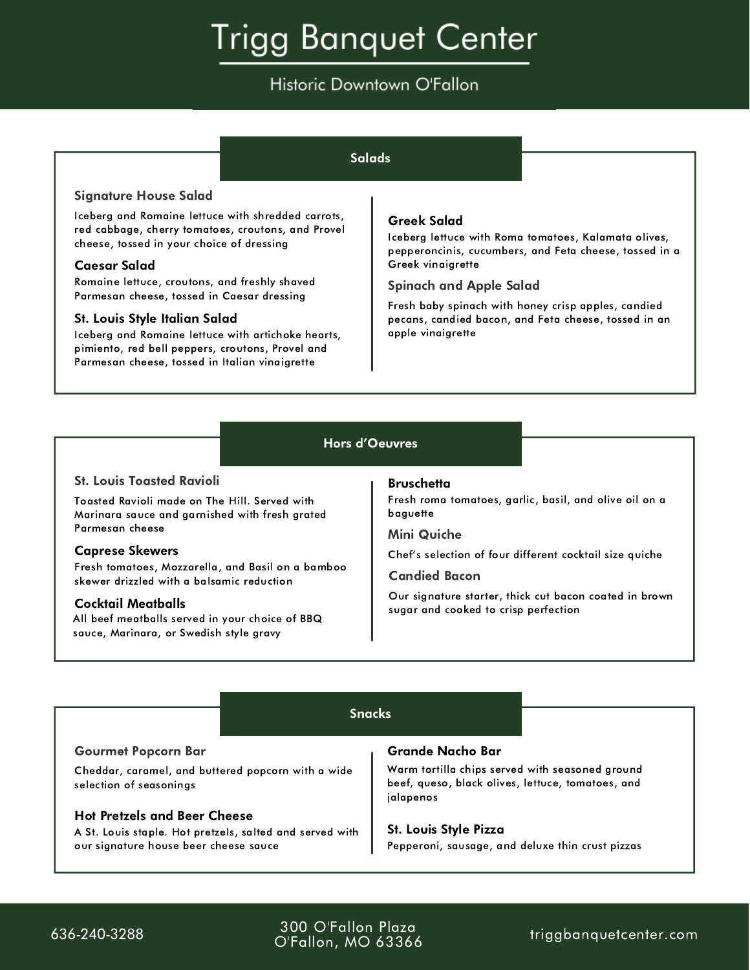# Historic Downtown O'Fallon

## **Salads**

#### Signature House Salad

Iceberg and Romaine lettuce with shredded carrots, red cabbage, cherry tomatoes, croutons, and Provel cheese, tossed in your choice of dressing

#### Caesar Salad

Romaine lettuce, croutons, and freshly shaved Parmesan cheese, tossed in Caesar dressing

#### St. Louis Style Italian Salad

Iceberg and Romaine lettuce with artichoke hearts, pimiento, red bell peppers, croutons, Provel and Parmesan cheese, tossed in Italian vinaigrette

### Greek Salad

Iceberg lettuce with Roma tomatoes, Kalamata olives, pepperoncinis, cucumbers, and Feta cheese, tossed in a Greek vinaigrette

#### Spinach and Apple Salad

Fresh baby spinach with honey crisp apples, candied pecans, candied bacon, and Feta cheese, tossed in an apple vinaigrette

# Hors d'Oeuvres

#### St. Louis Toasted Ravioli

Toasted Ravioli made on The Hill. Served with Marinara sauce and garnished with fresh grated Parmesan cheese

#### Caprese Skewers

Fresh tomatoes, Mozzarella, and Basil on a bamboo skewer drizzled with a balsamic reduction

#### Cocktail Meatballs

All beef meatballs served in your choice of BBQ sauce, Marinara, or Swedish style gravy

#### **Bruschetta**

Fresh roma tomatoes, garlic, basil, and olive oil on a baguette

#### Mini Quiche

Chef's selection of four different cocktail size quiche

#### Candied Bacon

Our signature starter, thick cut bacon coated in brown sugar and cooked to crisp perfection

#### Snacks

#### Gourmet Popcorn Bar

Cheddar, caramel, and buttered popcorn with a wide selection of seasonings

#### Hot Pretzels and Beer Cheese

A St. Louis staple. Hot pretzels, salted and served with our signature house beer cheese sauce

#### Grande Nacho Bar

Warm tortilla chips served with seasoned ground beef, queso, black olives, lettuce, tomatoes, and jalapenos

#### St. Louis Style Pizza

Pepperoni, sausage, and deluxe thin crust pizzas